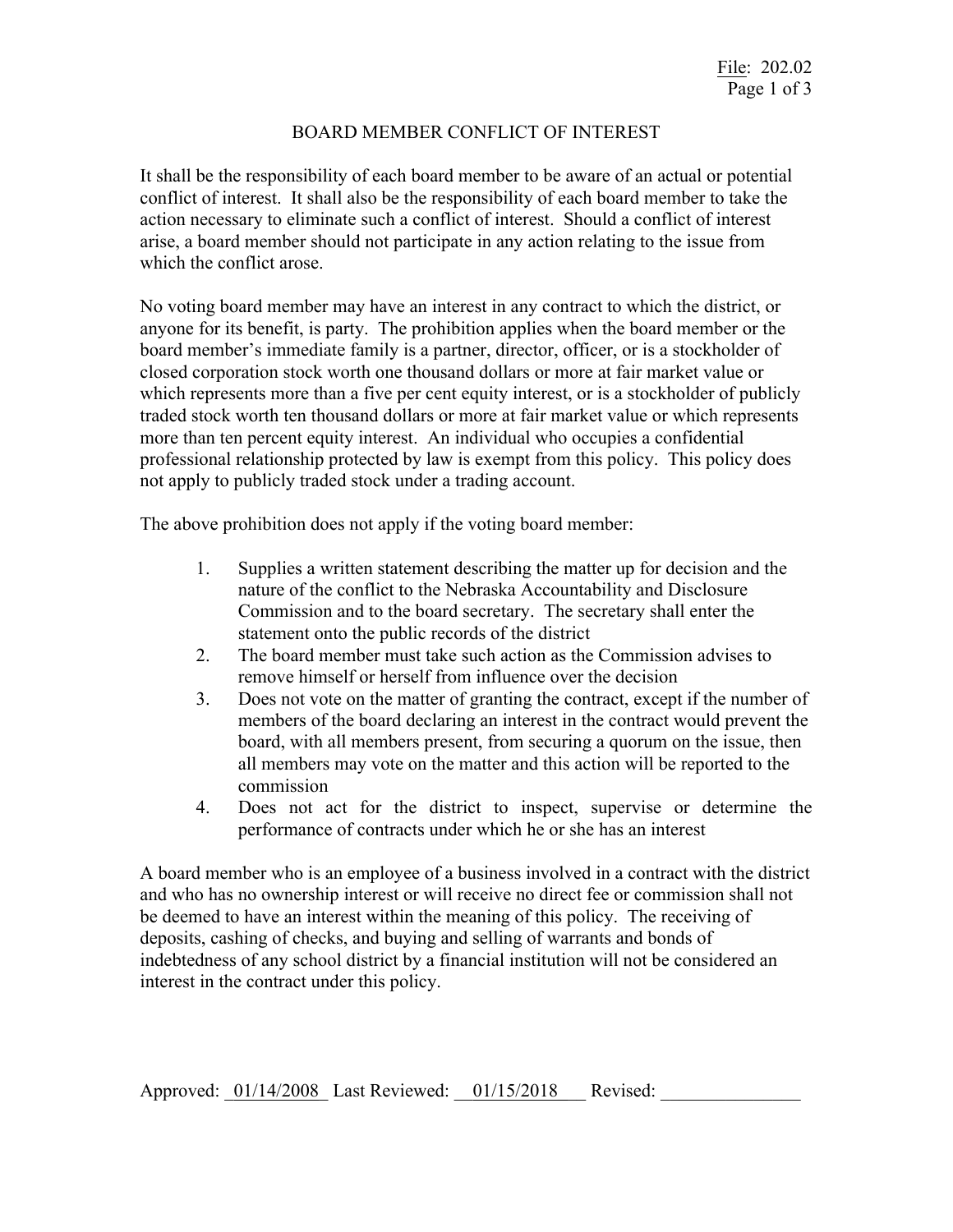## BOARD MEMBER CONFLICT OF INTEREST

It shall be the responsibility of each board member to be aware of an actual or potential conflict of interest. It shall also be the responsibility of each board member to take the action necessary to eliminate such a conflict of interest. Should a conflict of interest arise, a board member should not participate in any action relating to the issue from which the conflict arose.

No voting board member may have an interest in any contract to which the district, or anyone for its benefit, is party. The prohibition applies when the board member or the board member's immediate family is a partner, director, officer, or is a stockholder of closed corporation stock worth one thousand dollars or more at fair market value or which represents more than a five per cent equity interest, or is a stockholder of publicly traded stock worth ten thousand dollars or more at fair market value or which represents more than ten percent equity interest. An individual who occupies a confidential professional relationship protected by law is exempt from this policy. This policy does not apply to publicly traded stock under a trading account.

The above prohibition does not apply if the voting board member:

- 1. Supplies a written statement describing the matter up for decision and the nature of the conflict to the Nebraska Accountability and Disclosure Commission and to the board secretary. The secretary shall enter the statement onto the public records of the district
- 2. The board member must take such action as the Commission advises to remove himself or herself from influence over the decision
- 3. Does not vote on the matter of granting the contract, except if the number of members of the board declaring an interest in the contract would prevent the board, with all members present, from securing a quorum on the issue, then all members may vote on the matter and this action will be reported to the commission
- 4. Does not act for the district to inspect, supervise or determine the performance of contracts under which he or she has an interest

A board member who is an employee of a business involved in a contract with the district and who has no ownership interest or will receive no direct fee or commission shall not be deemed to have an interest within the meaning of this policy. The receiving of deposits, cashing of checks, and buying and selling of warrants and bonds of indebtedness of any school district by a financial institution will not be considered an interest in the contract under this policy.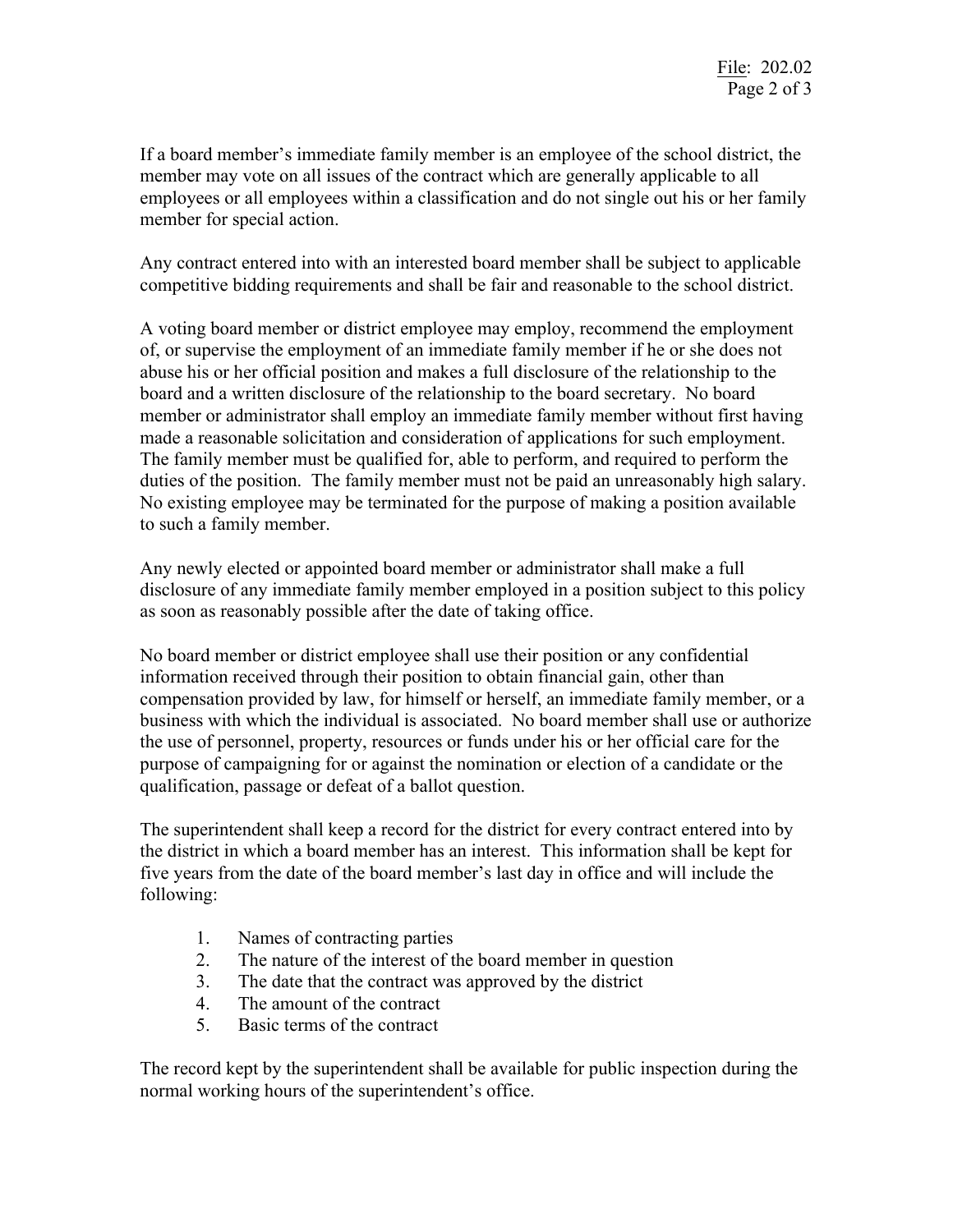If a board member's immediate family member is an employee of the school district, the member may vote on all issues of the contract which are generally applicable to all employees or all employees within a classification and do not single out his or her family member for special action.

Any contract entered into with an interested board member shall be subject to applicable competitive bidding requirements and shall be fair and reasonable to the school district.

A voting board member or district employee may employ, recommend the employment of, or supervise the employment of an immediate family member if he or she does not abuse his or her official position and makes a full disclosure of the relationship to the board and a written disclosure of the relationship to the board secretary. No board member or administrator shall employ an immediate family member without first having made a reasonable solicitation and consideration of applications for such employment. The family member must be qualified for, able to perform, and required to perform the duties of the position. The family member must not be paid an unreasonably high salary. No existing employee may be terminated for the purpose of making a position available to such a family member.

Any newly elected or appointed board member or administrator shall make a full disclosure of any immediate family member employed in a position subject to this policy as soon as reasonably possible after the date of taking office.

No board member or district employee shall use their position or any confidential information received through their position to obtain financial gain, other than compensation provided by law, for himself or herself, an immediate family member, or a business with which the individual is associated. No board member shall use or authorize the use of personnel, property, resources or funds under his or her official care for the purpose of campaigning for or against the nomination or election of a candidate or the qualification, passage or defeat of a ballot question.

The superintendent shall keep a record for the district for every contract entered into by the district in which a board member has an interest. This information shall be kept for five years from the date of the board member's last day in office and will include the following:

- 1. Names of contracting parties
- 2. The nature of the interest of the board member in question
- 3. The date that the contract was approved by the district
- 4. The amount of the contract
- 5. Basic terms of the contract

The record kept by the superintendent shall be available for public inspection during the normal working hours of the superintendent's office.